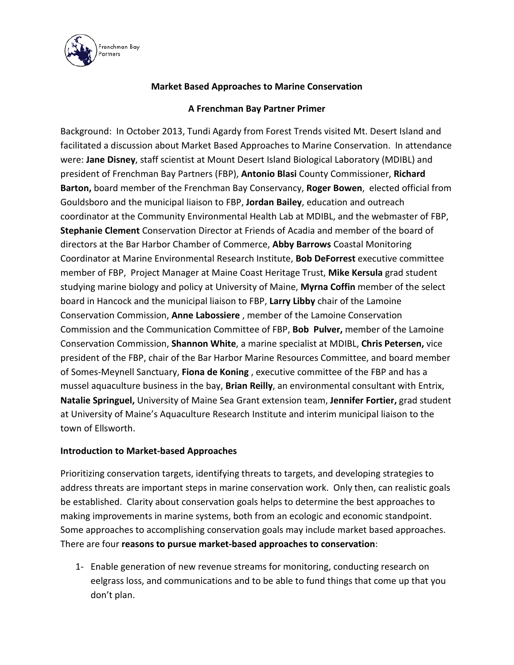

## **Market Based Approaches to Marine Conservation**

## **A Frenchman Bay Partner Primer**

Background: In October 2013, Tundi Agardy from Forest Trends visited Mt. Desert Island and facilitated a discussion about Market Based Approaches to Marine Conservation. In attendance were: **Jane Disney**, staff scientist at Mount Desert Island Biological Laboratory (MDIBL) and president of Frenchman Bay Partners (FBP), **Antonio Blasi** County Commissioner, **Richard Barton,** board member of the Frenchman Bay Conservancy, **Roger Bowen**, elected official from Gouldsboro and the municipal liaison to FBP, **Jordan Bailey**, education and outreach coordinator at the Community Environmental Health Lab at MDIBL, and the webmaster of FBP, **Stephanie Clement** Conservation Director at Friends of Acadia and member of the board of directors at the Bar Harbor Chamber of Commerce, **Abby Barrows** Coastal Monitoring Coordinator at Marine Environmental Research Institute, **Bob DeForrest** executive committee member of FBP, Project Manager at Maine Coast Heritage Trust, **Mike Kersula** grad student studying marine biology and policy at University of Maine, **Myrna Coffin** member of the select board in Hancock and the municipal liaison to FBP, **Larry Libby** chair of the Lamoine Conservation Commission, **Anne Labossiere** , member of the Lamoine Conservation Commission and the Communication Committee of FBP, **Bob Pulver,** member of the Lamoine Conservation Commission, **Shannon White**, a marine specialist at MDIBL, **Chris Petersen,** vice president of the FBP, chair of the Bar Harbor Marine Resources Committee, and board member of Somes-Meynell Sanctuary, **Fiona de Koning** , executive committee of the FBP and has a mussel aquaculture business in the bay, **Brian Reilly**, an environmental consultant with Entrix, **Natalie Springuel,** University of Maine Sea Grant extension team, **Jennifer Fortier,** grad student at University of Maine's Aquaculture Research Institute and interim municipal liaison to the town of Ellsworth.

## **Introduction to Market-based Approaches**

Prioritizing conservation targets, identifying threats to targets, and developing strategies to address threats are important steps in marine conservation work. Only then, can realistic goals be established. Clarity about conservation goals helps to determine the best approaches to making improvements in marine systems, both from an ecologic and economic standpoint. Some approaches to accomplishing conservation goals may include market based approaches. There are four **reasons to pursue market-based approaches to conservation**:

1- Enable generation of new revenue streams for monitoring, conducting research on eelgrass loss, and communications and to be able to fund things that come up that you don't plan.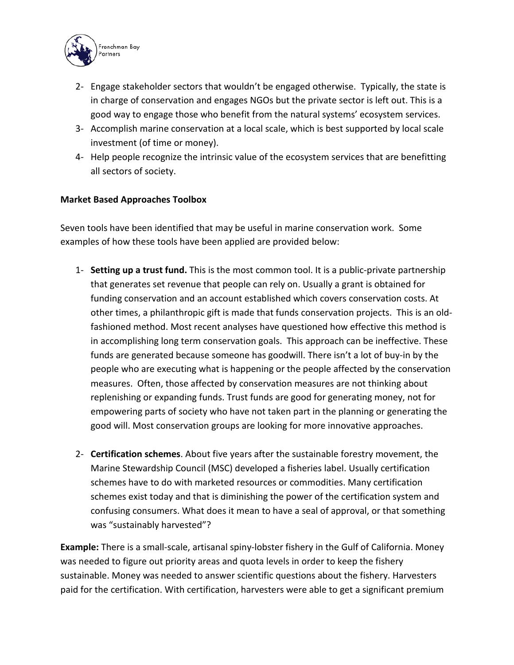

- 2- Engage stakeholder sectors that wouldn't be engaged otherwise. Typically, the state is in charge of conservation and engages NGOs but the private sector is left out. This is a good way to engage those who benefit from the natural systems' ecosystem services.
- 3- Accomplish marine conservation at a local scale, which is best supported by local scale investment (of time or money).
- 4- Help people recognize the intrinsic value of the ecosystem services that are benefitting all sectors of society.

## **Market Based Approaches Toolbox**

Seven tools have been identified that may be useful in marine conservation work. Some examples of how these tools have been applied are provided below:

- 1- **Setting up a trust fund.** This is the most common tool. It is a public-private partnership that generates set revenue that people can rely on. Usually a grant is obtained for funding conservation and an account established which covers conservation costs. At other times, a philanthropic gift is made that funds conservation projects. This is an oldfashioned method. Most recent analyses have questioned how effective this method is in accomplishing long term conservation goals. This approach can be ineffective. These funds are generated because someone has goodwill. There isn't a lot of buy-in by the people who are executing what is happening or the people affected by the conservation measures. Often, those affected by conservation measures are not thinking about replenishing or expanding funds. Trust funds are good for generating money, not for empowering parts of society who have not taken part in the planning or generating the good will. Most conservation groups are looking for more innovative approaches.
- 2- **Certification schemes**. About five years after the sustainable forestry movement, the Marine Stewardship Council (MSC) developed a fisheries label. Usually certification schemes have to do with marketed resources or commodities. Many certification schemes exist today and that is diminishing the power of the certification system and confusing consumers. What does it mean to have a seal of approval, or that something was "sustainably harvested"?

**Example:** There is a small-scale, artisanal spiny-lobster fishery in the Gulf of California. Money was needed to figure out priority areas and quota levels in order to keep the fishery sustainable. Money was needed to answer scientific questions about the fishery. Harvesters paid for the certification. With certification, harvesters were able to get a significant premium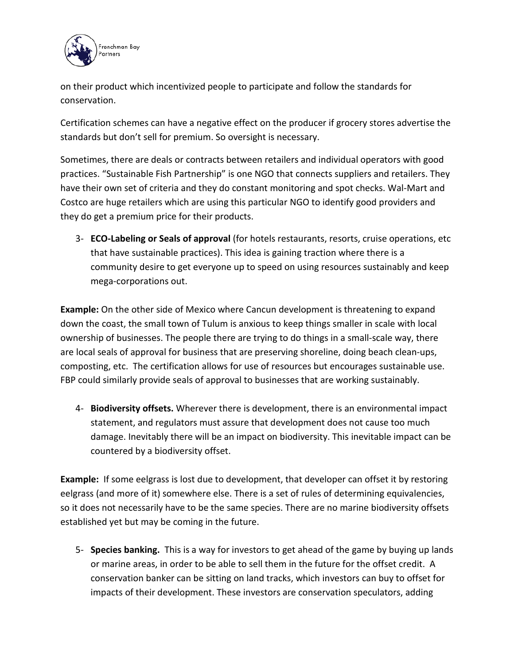

on their product which incentivized people to participate and follow the standards for conservation.

Certification schemes can have a negative effect on the producer if grocery stores advertise the standards but don't sell for premium. So oversight is necessary.

Sometimes, there are deals or contracts between retailers and individual operators with good practices. "Sustainable Fish Partnership" is one NGO that connects suppliers and retailers. They have their own set of criteria and they do constant monitoring and spot checks. Wal-Mart and Costco are huge retailers which are using this particular NGO to identify good providers and they do get a premium price for their products.

3- **ECO-Labeling or Seals of approval** (for hotels restaurants, resorts, cruise operations, etc that have sustainable practices). This idea is gaining traction where there is a community desire to get everyone up to speed on using resources sustainably and keep mega-corporations out.

**Example:** On the other side of Mexico where Cancun development is threatening to expand down the coast, the small town of Tulum is anxious to keep things smaller in scale with local ownership of businesses. The people there are trying to do things in a small-scale way, there are local seals of approval for business that are preserving shoreline, doing beach clean-ups, composting, etc. The certification allows for use of resources but encourages sustainable use. FBP could similarly provide seals of approval to businesses that are working sustainably.

4- **Biodiversity offsets.** Wherever there is development, there is an environmental impact statement, and regulators must assure that development does not cause too much damage. Inevitably there will be an impact on biodiversity. This inevitable impact can be countered by a biodiversity offset.

**Example:** If some eelgrass is lost due to development, that developer can offset it by restoring eelgrass (and more of it) somewhere else. There is a set of rules of determining equivalencies, so it does not necessarily have to be the same species. There are no marine biodiversity offsets established yet but may be coming in the future.

5- **Species banking.** This is a way for investors to get ahead of the game by buying up lands or marine areas, in order to be able to sell them in the future for the offset credit. A conservation banker can be sitting on land tracks, which investors can buy to offset for impacts of their development. These investors are conservation speculators, adding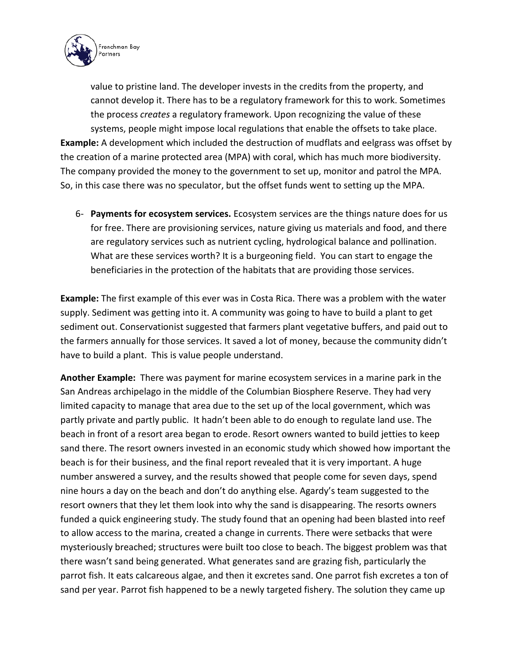

value to pristine land. The developer invests in the credits from the property, and cannot develop it. There has to be a regulatory framework for this to work. Sometimes the process *creates* a regulatory framework. Upon recognizing the value of these systems, people might impose local regulations that enable the offsets to take place. **Example:** A development which included the destruction of mudflats and eelgrass was offset by the creation of a marine protected area (MPA) with coral, which has much more biodiversity. The company provided the money to the government to set up, monitor and patrol the MPA. So, in this case there was no speculator, but the offset funds went to setting up the MPA.

6- **Payments for ecosystem services.** Ecosystem services are the things nature does for us for free. There are provisioning services, nature giving us materials and food, and there are regulatory services such as nutrient cycling, hydrological balance and pollination. What are these services worth? It is a burgeoning field. You can start to engage the beneficiaries in the protection of the habitats that are providing those services.

**Example:** The first example of this ever was in Costa Rica. There was a problem with the water supply. Sediment was getting into it. A community was going to have to build a plant to get sediment out. Conservationist suggested that farmers plant vegetative buffers, and paid out to the farmers annually for those services. It saved a lot of money, because the community didn't have to build a plant. This is value people understand.

**Another Example:** There was payment for marine ecosystem services in a marine park in the San Andreas archipelago in the middle of the Columbian Biosphere Reserve. They had very limited capacity to manage that area due to the set up of the local government, which was partly private and partly public. It hadn't been able to do enough to regulate land use. The beach in front of a resort area began to erode. Resort owners wanted to build jetties to keep sand there. The resort owners invested in an economic study which showed how important the beach is for their business, and the final report revealed that it is very important. A huge number answered a survey, and the results showed that people come for seven days, spend nine hours a day on the beach and don't do anything else. Agardy's team suggested to the resort owners that they let them look into why the sand is disappearing. The resorts owners funded a quick engineering study. The study found that an opening had been blasted into reef to allow access to the marina, created a change in currents. There were setbacks that were mysteriously breached; structures were built too close to beach. The biggest problem was that there wasn't sand being generated. What generates sand are grazing fish, particularly the parrot fish. It eats calcareous algae, and then it excretes sand. One parrot fish excretes a ton of sand per year. Parrot fish happened to be a newly targeted fishery. The solution they came up